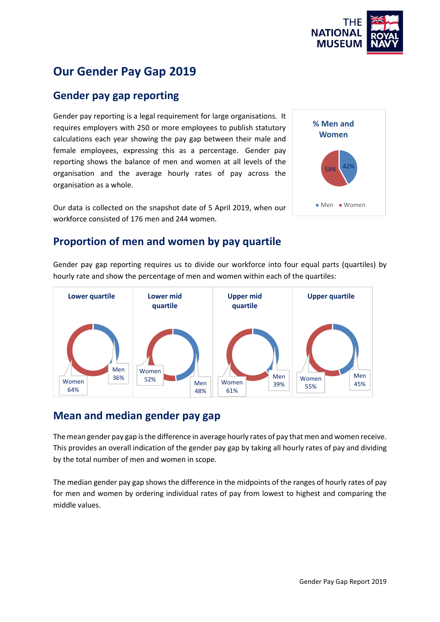

58%

Men Women

**% Men and Women**

# **Our Gender Pay Gap 2019**

### **Gender pay gap reporting**

Gender pay reporting is a legal requirement for large organisations. It requires employers with 250 or more employees to publish statutory calculations each year showing the pay gap between their male and female employees, expressing this as a percentage. Gender pay reporting shows the balance of men and women at all levels of the organisation and the average hourly rates of pay across the organisation as a whole.

Our data is collected on the snapshot date of 5 April 2019, when our workforce consisted of 176 men and 244 women.



Gender pay gap reporting requires us to divide our workforce into four equal parts (quartiles) by hourly rate and show the percentage of men and women within each of the quartiles:



# **Mean and median gender pay gap**

The mean gender pay gap is the difference in average hourly rates of pay that men and women receive. This provides an overall indication of the gender pay gap by taking all hourly rates of pay and dividing by the total number of men and women in scope.

The median gender pay gap shows the difference in the midpoints of the ranges of hourly rates of pay for men and women by ordering individual rates of pay from lowest to highest and comparing the middle values.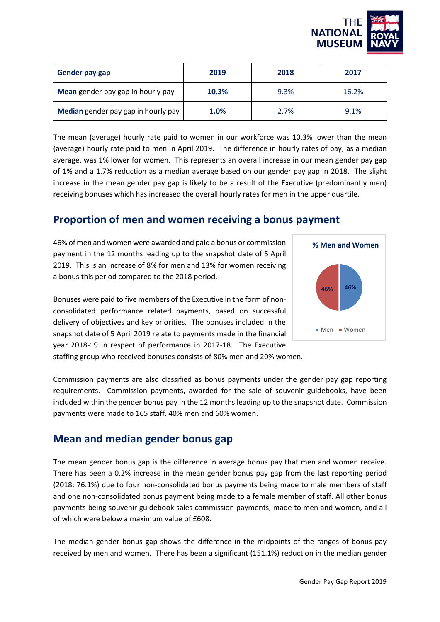

| Gender pay gap                      | 2019  | 2018 | 2017  |
|-------------------------------------|-------|------|-------|
| Mean gender pay gap in hourly pay   | 10.3% | 9.3% | 16.2% |
| Median gender pay gap in hourly pay | 1.0%  | 2.7% | 9.1%  |

The mean (average) hourly rate paid to women in our workforce was 10.3% lower than the mean (average) hourly rate paid to men in April 2019. The difference in hourly rates of pay, as a median average, was 1% lower for women. This represents an overall increase in our mean gender pay gap of 1% and a 1.7% reduction as a median average based on our gender pay gap in 2018. The slight increase in the mean gender pay gap is likely to be a result of the Executive (predominantly men) receiving bonuses which has increased the overall hourly rates for men in the upper quartile.

### **Proportion of men and women receiving a bonus payment**

46% of men and women were awarded and paid a bonus or commission payment in the 12 months leading up to the snapshot date of 5 April 2019. This is an increase of 8% for men and 13% for women receiving a bonus this period compared to the 2018 period.

Bonuses were paid to five members of the Executive in the form of nonconsolidated performance related payments, based on successful delivery of objectives and key priorities. The bonuses included in the snapshot date of 5 April 2019 relate to payments made in the financial year 2018-19 in respect of performance in 2017-18. The Executive staffing group who received bonuses consists of 80% men and 20% women.



Commission payments are also classified as bonus payments under the gender pay gap reporting requirements. Commission payments, awarded for the sale of souvenir guidebooks, have been included within the gender bonus pay in the 12 months leading up to the snapshot date. Commission payments were made to 165 staff, 40% men and 60% women.

### **Mean and median gender bonus gap**

The mean gender bonus gap is the difference in average bonus pay that men and women receive. There has been a 0.2% increase in the mean gender bonus pay gap from the last reporting period (2018: 76.1%) due to four non-consolidated bonus payments being made to male members of staff and one non-consolidated bonus payment being made to a female member of staff. All other bonus payments being souvenir guidebook sales commission payments, made to men and women, and all of which were below a maximum value of £608.

The median gender bonus gap shows the difference in the midpoints of the ranges of bonus pay received by men and women. There has been a significant (151.1%) reduction in the median gender